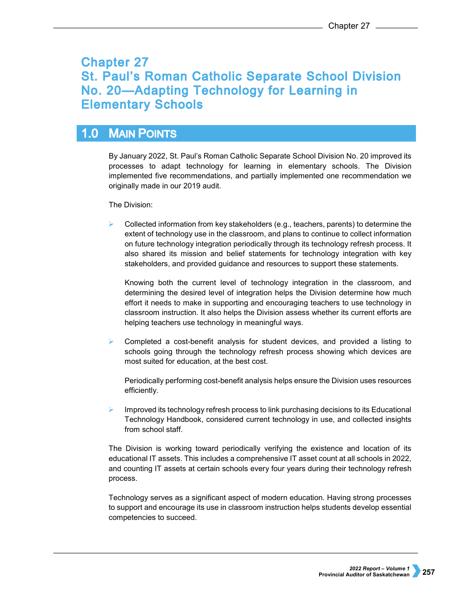# **Chapter 27** St. Paul's Roman Catholic Separate School Division No. 20-Adapting Technology for Learning in **Elementary Schools**

### **MAIN POINTS**  $1.0$

By January 2022, St. Paul's Roman Catholic Separate School Division No. 20 improved its processes to adapt technology for learning in elementary schools. The Division implemented five recommendations, and partially implemented one recommendation we originally made in our 2019 audit.

The Division:

 Collected information from key stakeholders (e.g., teachers, parents) to determine the extent of technology use in the classroom, and plans to continue to collect information on future technology integration periodically through its technology refresh process. It also shared its mission and belief statements for technology integration with key stakeholders, and provided guidance and resources to support these statements.

Knowing both the current level of technology integration in the classroom, and determining the desired level of integration helps the Division determine how much effort it needs to make in supporting and encouraging teachers to use technology in classroom instruction. It also helps the Division assess whether its current efforts are helping teachers use technology in meaningful ways.

 Completed a cost-benefit analysis for student devices, and provided a listing to schools going through the technology refresh process showing which devices are most suited for education, at the best cost.

Periodically performing cost-benefit analysis helps ensure the Division uses resources efficiently.

 Improved its technology refresh process to link purchasing decisions to its Educational Technology Handbook, considered current technology in use, and collected insights from school staff.

The Division is working toward periodically verifying the existence and location of its educational IT assets. This includes a comprehensive IT asset count at all schools in 2022, and counting IT assets at certain schools every four years during their technology refresh process.

Technology serves as a significant aspect of modern education. Having strong processes to support and encourage its use in classroom instruction helps students develop essential competencies to succeed.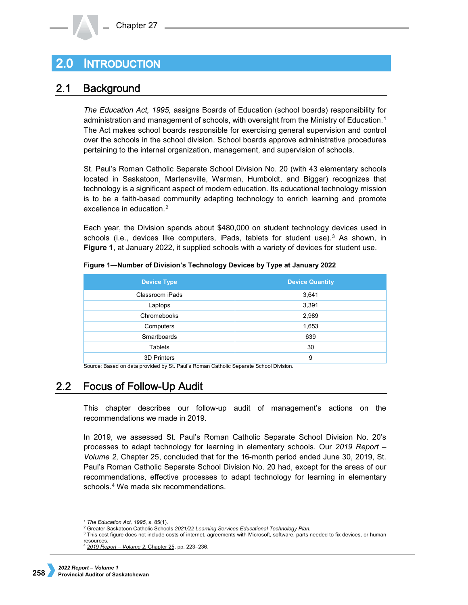## **INTRODUCTION**  $2.0\,$

#### $2.1$ **Background**

*The Education Act, 1995,* assigns Boards of Education (school boards) responsibility for administration and management of schools, with oversight from the Ministry of Education.[1](#page-1-0) The Act makes school boards responsible for exercising general supervision and control over the schools in the school division. School boards approve administrative procedures pertaining to the internal organization, management, and supervision of schools.

St. Paul's Roman Catholic Separate School Division No. 20 (with 43 elementary schools located in Saskatoon, Martensville, Warman, Humboldt, and Biggar) recognizes that technology is a significant aspect of modern education. Its educational technology mission is to be a faith-based community adapting technology to enrich learning and promote excellence in education.<sup>[2](#page-1-1)</sup>

Each year, the Division spends about \$480,000 on student technology devices used in schools (i.e., devices like computers, iPads, tablets for student use).<sup>[3](#page-1-2)</sup> As shown, in **Figure 1**, at January 2022, it supplied schools with a variety of devices for student use.

| <b>Device Type</b> | <b>Device Quantity</b> |  |
|--------------------|------------------------|--|
| Classroom iPads    | 3,641                  |  |
| Laptops            | 3,391                  |  |
| Chromebooks        | 2,989                  |  |
| Computers          | 1,653                  |  |
| Smartboards        | 639                    |  |
| <b>Tablets</b>     | 30                     |  |
| <b>3D Printers</b> | 9                      |  |

**Figure 1—Number of Division's Technology Devices by Type at January 2022**

Source: Based on data provided by St. Paul's Roman Catholic Separate School Division.

#### $2.2<sub>2</sub>$ **Focus of Follow-Up Audit**

This chapter describes our follow-up audit of management's actions on the recommendations we made in 2019.

In 2019, we assessed St. Paul's Roman Catholic Separate School Division No. 20's processes to adapt technology for learning in elementary schools. Our *2019 Report – Volume 2*, Chapter 25, concluded that for the 16-month period ended June 30, 2019, St. Paul's Roman Catholic Separate School Division No. 20 had, except for the areas of our recommendations, effective processes to adapt technology for learning in elementary schools.[4](#page-1-3) We made six recommendations.

<sup>-</sup>

<span id="page-1-0"></span><sup>&</sup>lt;sup>1</sup> The Education Act, 1995, s. 85(1).<br><sup>2</sup> Greater Saskatoon Catholic Schools 2021/22 Learning Services Educational Technology Plan.

<span id="page-1-3"></span><span id="page-1-2"></span><span id="page-1-1"></span><sup>&</sup>lt;sup>3</sup> This cost figure does not include costs of internet, agreements with Microsoft, software, parts needed to fix devices, or human resources.

<sup>4</sup> *[2019 Report – Volume 2](https://auditor.sk.ca/pub/publications/public_reports/2019/Volume_2/Chapter%2025%20-%20St.%20Paul%C3%A2%E2%82%AC%E2%84%A2s%20Roman%20Catholic%20Separate%20School%20Division%C3%A2%E2%82%AC%E2%80%9DAdapting%20Technology%20for%20Learning%20in%20Elementary%20Schools.pdf)*, Chapter 25, pp. 223–236.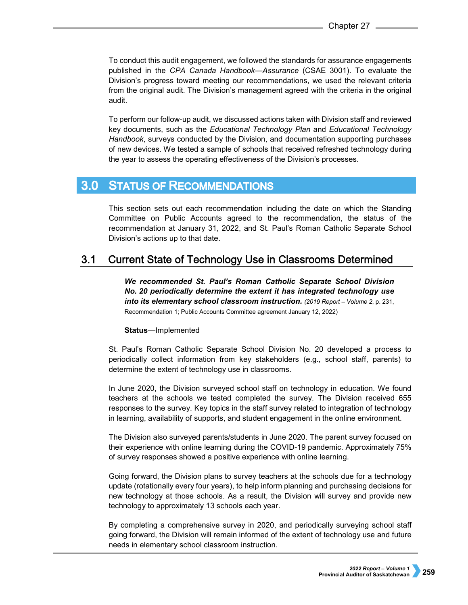To conduct this audit engagement, we followed the standards for assurance engagements published in the *CPA Canada Handbook—Assurance* (CSAE 3001). To evaluate the Division's progress toward meeting our recommendations, we used the relevant criteria from the original audit. The Division's management agreed with the criteria in the original audit.

To perform our follow-up audit, we discussed actions taken with Division staff and reviewed key documents, such as the *Educational Technology Plan* and *Educational Technology Handbook*, surveys conducted by the Division, and documentation supporting purchases of new devices. We tested a sample of schools that received refreshed technology during the year to assess the operating effectiveness of the Division's processes.

#### $3.0<sub>1</sub>$ **STATUS OF RECOMMENDATIONS**

This section sets out each recommendation including the date on which the Standing Committee on Public Accounts agreed to the recommendation, the status of the recommendation at January 31, 2022, and St. Paul's Roman Catholic Separate School Division's actions up to that date.

#### **Current State of Technology Use in Classrooms Determined**  $3.1$

*We recommended St. Paul's Roman Catholic Separate School Division No. 20 periodically determine the extent it has integrated technology use into its elementary school classroom instruction. (2019 Report – Volume 2*, p. 231, Recommendation 1; Public Accounts Committee agreement January 12, 2022)

# **Status**—Implemented

St. Paul's Roman Catholic Separate School Division No. 20 developed a process to periodically collect information from key stakeholders (e.g., school staff, parents) to determine the extent of technology use in classrooms.

In June 2020, the Division surveyed school staff on technology in education. We found teachers at the schools we tested completed the survey. The Division received 655 responses to the survey. Key topics in the staff survey related to integration of technology in learning, availability of supports, and student engagement in the online environment.

The Division also surveyed parents/students in June 2020. The parent survey focused on their experience with online learning during the COVID-19 pandemic. Approximately 75% of survey responses showed a positive experience with online learning.

Going forward, the Division plans to survey teachers at the schools due for a technology update (rotationally every four years), to help inform planning and purchasing decisions for new technology at those schools. As a result, the Division will survey and provide new technology to approximately 13 schools each year.

By completing a comprehensive survey in 2020, and periodically surveying school staff going forward, the Division will remain informed of the extent of technology use and future needs in elementary school classroom instruction.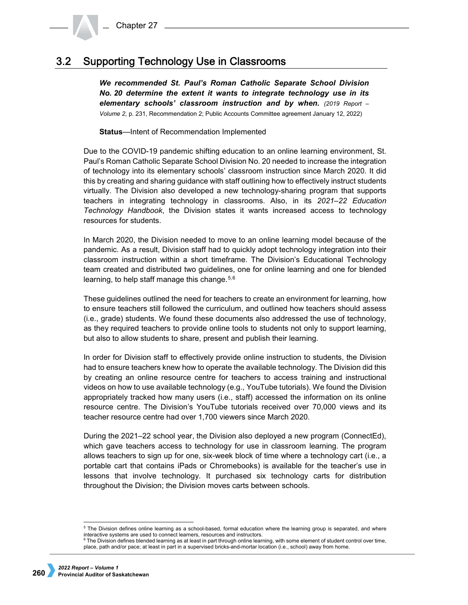#### **Supporting Technology Use in Classrooms**  $3.2$

*We recommended St. Paul's Roman Catholic Separate School Division No. 20 determine the extent it wants to integrate technology use in its elementary schools' classroom instruction and by when. (2019 Report – Volume 2*, p. 231, Recommendation 2; Public Accounts Committee agreement January 12, 2022)

**Status**—Intent of Recommendation Implemented

Due to the COVID-19 pandemic shifting education to an online learning environment, St. Paul's Roman Catholic Separate School Division No. 20 needed to increase the integration of technology into its elementary schools' classroom instruction since March 2020. It did this by creating and sharing guidance with staff outlining how to effectively instruct students virtually. The Division also developed a new technology-sharing program that supports teachers in integrating technology in classrooms. Also, in its *2021–22 Education Technology Handbook*, the Division states it wants increased access to technology resources for students.

In March 2020, the Division needed to move to an online learning model because of the pandemic. As a result, Division staff had to quickly adopt technology integration into their classroom instruction within a short timeframe. The Division's Educational Technology team created and distributed two guidelines, one for online learning and one for blended learning, to help staff manage this change.  $5,6$  $5,6$  $5,6$ 

These guidelines outlined the need for teachers to create an environment for learning, how to ensure teachers still followed the curriculum, and outlined how teachers should assess (i.e., grade) students. We found these documents also addressed the use of technology, as they required teachers to provide online tools to students not only to support learning, but also to allow students to share, present and publish their learning.

In order for Division staff to effectively provide online instruction to students, the Division had to ensure teachers knew how to operate the available technology. The Division did this by creating an online resource centre for teachers to access training and instructional videos on how to use available technology (e.g., YouTube tutorials). We found the Division appropriately tracked how many users (i.e., staff) accessed the information on its online resource centre. The Division's YouTube tutorials received over 70,000 views and its teacher resource centre had over 1,700 viewers since March 2020.

During the 2021–22 school year, the Division also deployed a new program (ConnectEd), which gave teachers access to technology for use in classroom learning. The program allows teachers to sign up for one, six-week block of time where a technology cart (i.e., a portable cart that contains iPads or Chromebooks) is available for the teacher's use in lessons that involve technology. It purchased six technology carts for distribution throughout the Division; the Division moves carts between schools.

<span id="page-3-0"></span> <sup>5</sup> The Division defines online learning as a school-based, formal education where the learning group is separated, and where interactive systems are used to connect learners, resources and instructors.

<span id="page-3-1"></span> $6$  The Division defines blended learning as at least in part through online learning, with some element of student control over time, place, path and/or pace; at least in part in a supervised bricks-and-mortar location (i.e., school) away from home.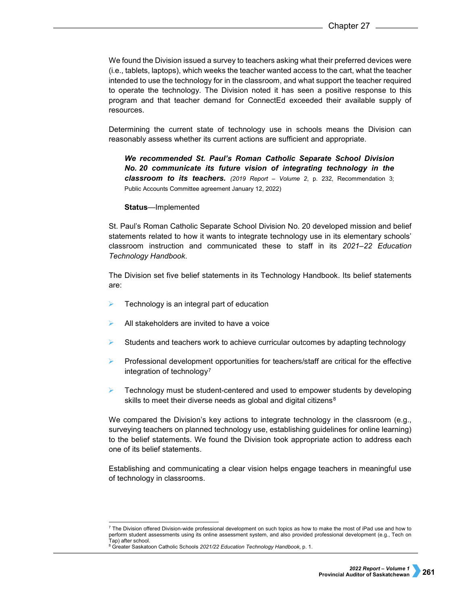We found the Division issued a survey to teachers asking what their preferred devices were (i.e., tablets, laptops), which weeks the teacher wanted access to the cart, what the teacher intended to use the technology for in the classroom, and what support the teacher required to operate the technology. The Division noted it has seen a positive response to this program and that teacher demand for ConnectEd exceeded their available supply of resources.

Determining the current state of technology use in schools means the Division can reasonably assess whether its current actions are sufficient and appropriate.

*We recommended St. Paul's Roman Catholic Separate School Division No. 20 communicate its future vision of integrating technology in the classroom to its teachers. (2019 Report – Volume 2*, p. 232, Recommendation 3; Public Accounts Committee agreement January 12, 2022)

**Status**—Implemented

St. Paul's Roman Catholic Separate School Division No. 20 developed mission and belief statements related to how it wants to integrate technology use in its elementary schools' classroom instruction and communicated these to staff in its *2021–22 Education Technology Handbook*.

The Division set five belief statements in its Technology Handbook. Its belief statements are:

- Technology is an integral part of education
- All stakeholders are invited to have a voice
- Students and teachers work to achieve curricular outcomes by adapting technology
- Professional development opportunities for teachers/staff are critical for the effective integration of technology<sup>[7](#page-4-0)</sup>
- $\triangleright$  Technology must be student-centered and used to empower students by developing skills to meet their diverse needs as global and digital citizens<sup>[8](#page-4-1)</sup>

We compared the Division's key actions to integrate technology in the classroom (e.g., surveying teachers on planned technology use, establishing guidelines for online learning) to the belief statements. We found the Division took appropriate action to address each one of its belief statements.

Establishing and communicating a clear vision helps engage teachers in meaningful use of technology in classrooms.

<span id="page-4-0"></span> $^7$  The Division offered Division-wide professional development on such topics as how to make the most of iPad use and how to perform student assessments using its online assessment system, and also provided professional development (e.g., Tech on Tap) after school.

<span id="page-4-1"></span><sup>8</sup> Greater Saskatoon Catholic Schools *2021/22 Education Technology Handbook*, p. 1.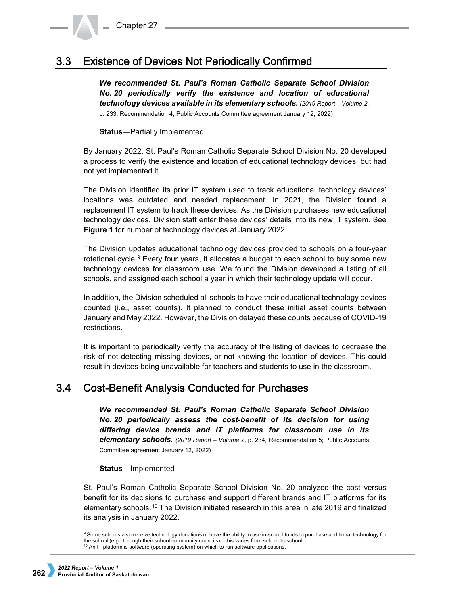#### **Existence of Devices Not Periodically Confirmed**  $3.3<sub>1</sub>$

*We recommended St. Paul's Roman Catholic Separate School Division No. 20 periodically verify the existence and location of educational technology devices available in its elementary schools. (2019 Report – Volume 2*, p. 233, Recommendation 4; Public Accounts Committee agreement January 12, 2022)

**Status**—Partially Implemented

By January 2022, St. Paul's Roman Catholic Separate School Division No. 20 developed a process to verify the existence and location of educational technology devices, but had not yet implemented it.

The Division identified its prior IT system used to track educational technology devices' locations was outdated and needed replacement. In 2021, the Division found a replacement IT system to track these devices. As the Division purchases new educational technology devices, Division staff enter these devices' details into its new IT system. See **Figure 1** for number of technology devices at January 2022.

The Division updates educational technology devices provided to schools on a four-year rotational cycle. $9$  Every four years, it allocates a budget to each school to buy some new technology devices for classroom use. We found the Division developed a listing of all schools, and assigned each school a year in which their technology update will occur.

In addition, the Division scheduled all schools to have their educational technology devices counted (i.e., asset counts). It planned to conduct these initial asset counts between January and May 2022. However, the Division delayed these counts because of COVID-19 restrictions.

It is important to periodically verify the accuracy of the listing of devices to decrease the risk of not detecting missing devices, or not knowing the location of devices. This could result in devices being unavailable for teachers and students to use in the classroom.

#### $3.4$ **Cost-Benefit Analysis Conducted for Purchases**

*We recommended St. Paul's Roman Catholic Separate School Division No. 20 periodically assess the cost-benefit of its decision for using differing device brands and IT platforms for classroom use in its elementary schools. (2019 Report – Volume 2*, p. 234, Recommendation 5; Public Accounts Committee agreement January 12, 2022)

# **Status**—Implemented

St. Paul's Roman Catholic Separate School Division No. 20 analyzed the cost versus benefit for its decisions to purchase and support different brands and IT platforms for its elementary schools.[10](#page-5-1) The Division initiated research in this area in late 2019 and finalized its analysis in January 2022.

<span id="page-5-1"></span><span id="page-5-0"></span> <sup>9</sup> Some schools also receive technology donations or have the ability to use in-school funds to purchase additional technology for the school (e.g., through their school community councils)—this varies from school-to-school. <sup>10</sup> An IT platform is software (operating system) on which to run software applications.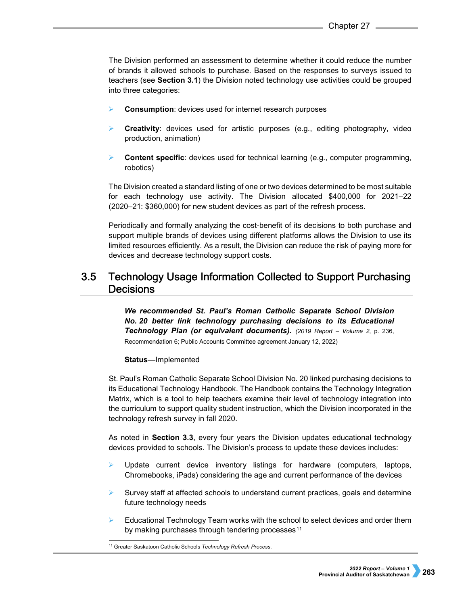The Division performed an assessment to determine whether it could reduce the number of brands it allowed schools to purchase. Based on the responses to surveys issued to teachers (see **Section 3.1**) the Division noted technology use activities could be grouped into three categories:

- **Consumption**: devices used for internet research purposes
- **Creativity**: devices used for artistic purposes (e.g., editing photography, video production, animation)
- **Content specific**: devices used for technical learning (e.g., computer programming, robotics)

The Division created a standard listing of one or two devices determined to be most suitable for each technology use activity. The Division allocated \$400,000 for 2021–22 (2020–21: \$360,000) for new student devices as part of the refresh process.

Periodically and formally analyzing the cost-benefit of its decisions to both purchase and support multiple brands of devices using different platforms allows the Division to use its limited resources efficiently. As a result, the Division can reduce the risk of paying more for devices and decrease technology support costs.

## $3.5$ **Technology Usage Information Collected to Support Purchasing Decisions**

*We recommended St. Paul's Roman Catholic Separate School Division No. 20 better link technology purchasing decisions to its Educational Technology Plan (or equivalent documents). (2019 Report – Volume 2*, p. 236, Recommendation 6; Public Accounts Committee agreement January 12, 2022)

## **Status**—Implemented

St. Paul's Roman Catholic Separate School Division No. 20 linked purchasing decisions to its Educational Technology Handbook. The Handbook contains the Technology Integration Matrix, which is a tool to help teachers examine their level of technology integration into the curriculum to support quality student instruction, which the Division incorporated in the technology refresh survey in fall 2020.

As noted in **Section 3.3**, every four years the Division updates educational technology devices provided to schools. The Division's process to update these devices includes:

- Update current device inventory listings for hardware (computers, laptops, Chromebooks, iPads) considering the age and current performance of the devices
- $\triangleright$  Survey staff at affected schools to understand current practices, goals and determine future technology needs
- Educational Technology Team works with the school to select devices and order them by making purchases through tendering processes<sup>[11](#page-6-0)</sup>

<span id="page-6-0"></span><sup>11</sup> Greater Saskatoon Catholic Schools *Technology Refresh Process*.